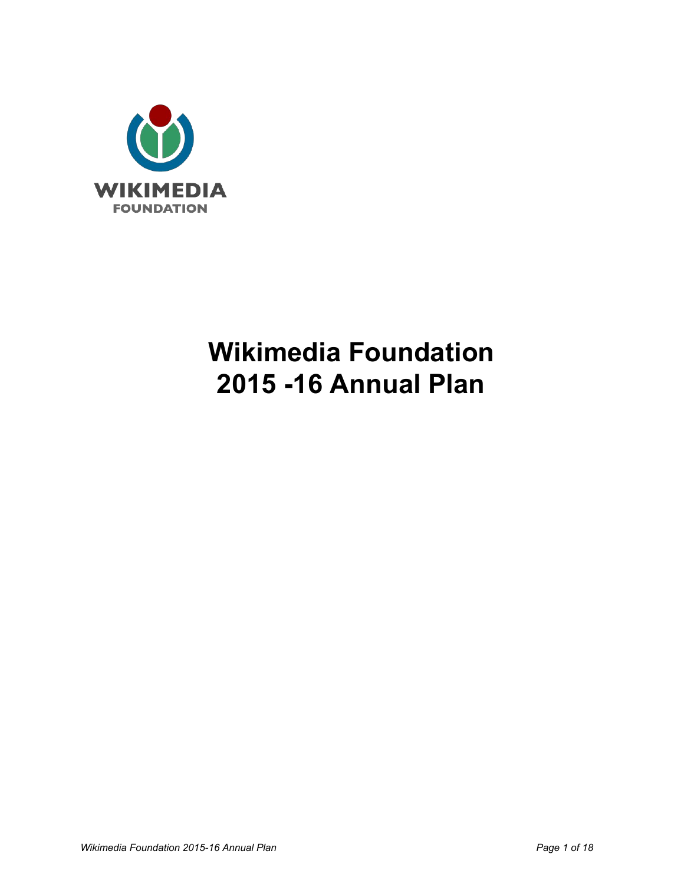

# **Wikimedia Foundation 2015 16 Annual Plan**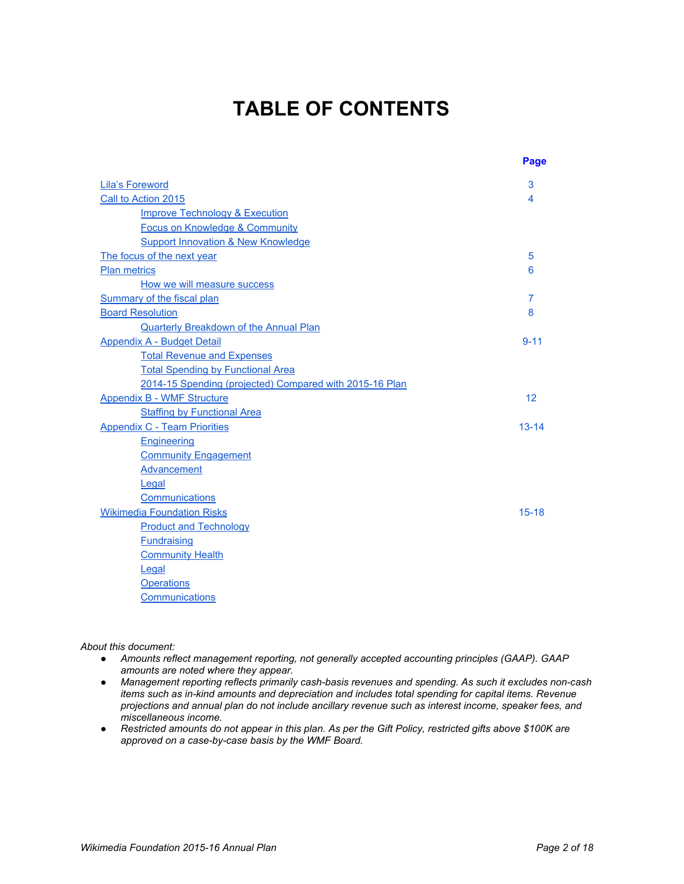## **TABLE OF CONTENTS**

|                                                         | Page      |
|---------------------------------------------------------|-----------|
| Lila's Foreword                                         | 3         |
| Call to Action 2015                                     | 4         |
| <b>Improve Technology &amp; Execution</b>               |           |
| <b>Focus on Knowledge &amp; Community</b>               |           |
| <b>Support Innovation &amp; New Knowledge</b>           |           |
| The focus of the next year                              | 5         |
| <b>Plan metrics</b>                                     | 6         |
| How we will measure success                             |           |
| Summary of the fiscal plan                              | 7         |
| <b>Board Resolution</b>                                 | 8         |
| <b>Quarterly Breakdown of the Annual Plan</b>           |           |
| <b>Appendix A - Budget Detail</b>                       | $9 - 11$  |
| <b>Total Revenue and Expenses</b>                       |           |
| <b>Total Spending by Functional Area</b>                |           |
| 2014-15 Spending (projected) Compared with 2015-16 Plan |           |
| <b>Appendix B - WMF Structure</b>                       | 12        |
| <b>Staffing by Functional Area</b>                      |           |
| <b>Appendix C - Team Priorities</b>                     | $13 - 14$ |
| Engineering                                             |           |
| <b>Community Engagement</b>                             |           |
| <b>Advancement</b>                                      |           |
| Legal                                                   |           |
| Communications                                          |           |
| <b>Wikimedia Foundation Risks</b>                       | $15 - 18$ |
| <b>Product and Technology</b>                           |           |
| <b>Fundraising</b>                                      |           |
| <b>Community Health</b>                                 |           |
| Legal                                                   |           |
| <b>Operations</b>                                       |           |
| Communications                                          |           |

#### *About this document:*

- *Amounts reflect management reporting, not generally accepted accounting principles (GAAP). GAAP amounts are noted where they appear.*
- *Management reporting reflects primarily cashbasis revenues and spending. As such it excludes noncash items such as inkind amounts and depreciation and includes total spending for capital items. Revenue projections and annual plan do not include ancillary revenue such as interest income, speaker fees, and miscellaneous income.*
- Restricted amounts do not appear in this plan. As per the Gift Policy, restricted gifts above \$100K are *approved on a casebycase basis by the WMF Board.*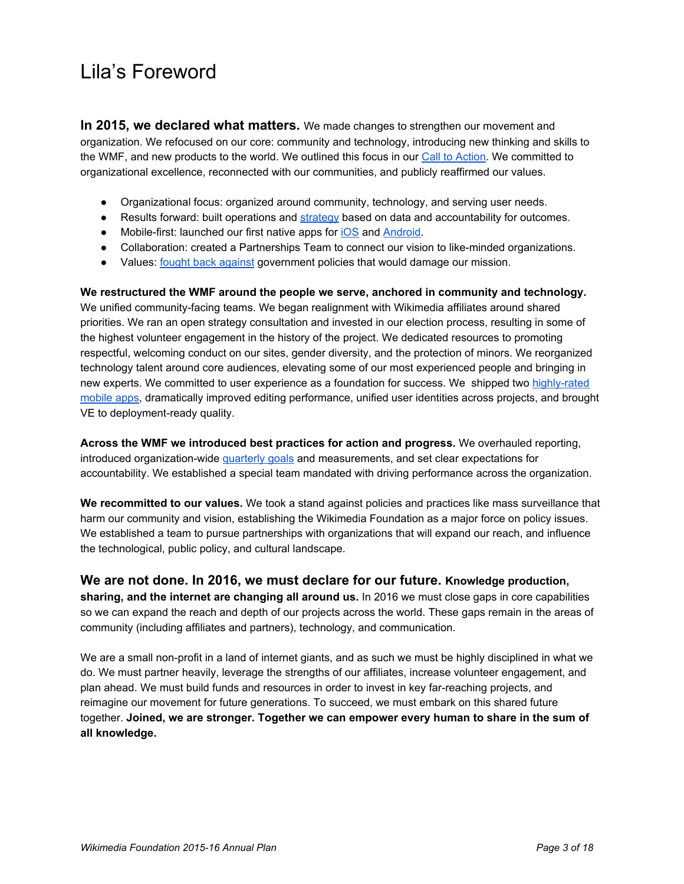## <span id="page-2-0"></span>Lila's Foreword

**In** 2015, we declared what matters. We made changes to strengthen our movement and organization. We refocused on our core: community and technology, introducing new thinking and skills to the WMF, and new products to the world. We outlined this focus in our Call to [Action.](https://meta.wikimedia.org/wiki/Communications/State_of_the_Wikimedia_Foundation#2015_Call_to_Action) We committed to organizational excellence, reconnected with our communities, and publicly reaffirmed our values.

- Organizational focus: organized around community, technology, and serving user needs.
- Results forward: built operations and [strategy](https://meta.wikimedia.org/wiki/File:WMF_Strategy_Preview,_WMF_Metrics_Meeting_June_2015.pdf) based on data and accountability for outcomes.
- Mobile-first: launched our first native apps for [iOS](https://itunes.apple.com/us/app/wikipedia-mobile/id324715238?mt=8) and [Android.](https://play.google.com/store/apps/details?id=org.wikipedia&hl=en)
- Collaboration: created a Partnerships Team to connect our vision to like-minded organizations.
- Values: fought back [against](http://www.nytimes.com/2015/03/10/opinion/stop-spying-on-wikipedia-users.html?_r=0) government policies that would damage our mission.

**We restructured the WMF around the people we serve, anchored in community and technology.** We unified community-facing teams. We began realignment with Wikimedia affiliates around shared priorities. We ran an open strategy consultation and invested in our election process, resulting in some of the highest volunteer engagement in the history of the project. We dedicated resources to promoting respectful, welcoming conduct on our sites, gender diversity, and the protection of minors. We reorganized technology talent around core audiences, elevating some of our most experienced people and bringing in new experts. We committed to user experience as a foundation for success. We shipped two highly-rated [mobile](https://play.google.com/store/apps/details?id=org.wikipedia&hl=en) apps, dramatically improved editing performance, unified user identities across projects, and brought VE to deployment-ready quality.

**Across the WMF we introduced best practices for action and progress.** We overhauled reporting, introduced organization-wide [quarterly](http://blog.wikimedia.org/2015/05/19/wikimedia-foundation-quarterly-report-january-march-2015/) goals and measurements, and set clear expectations for accountability. We established a special team mandated with driving performance across the organization.

**We recommitted to our values.** We took a stand against policies and practices like mass surveillance that harm our community and vision, establishing the Wikimedia Foundation as a major force on policy issues. We established a team to pursue partnerships with organizations that will expand our reach, and influence the technological, public policy, and cultural landscape.

**We are not done. In 2016, we must declare for our future. Knowledge production, sharing, and the internet are changing all around us.**In 2016 we must close gaps in core capabilities so we can expand the reach and depth of our projects across the world. These gaps remain in the areas of community (including affiliates and partners), technology, and communication.

We are a small non-profit in a land of internet giants, and as such we must be highly disciplined in what we do. We must partner heavily, leverage the strengths of our affiliates, increase volunteer engagement, and plan ahead. We must build funds and resources in order to invest in key far-reaching projects, and reimagine our movement for future generations. To succeed, we must embark on this shared future together. **Joined, we are stronger. Together we can empower every human to share in the sum of all knowledge.**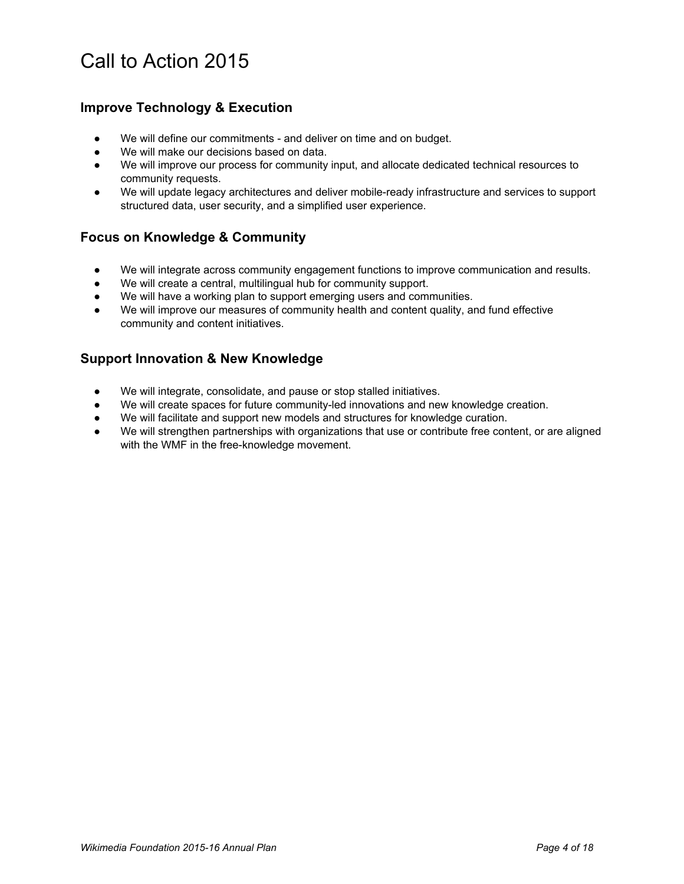## <span id="page-3-0"></span>Call to Action 2015

### <span id="page-3-1"></span>**Improve Technology & Execution**

- We will define our commitments and deliver on time and on budget.
- We will make our decisions based on data.
- We will improve our process for community input, and allocate dedicated technical resources to community requests.
- We will update legacy architectures and deliver mobile-ready infrastructure and services to support structured data, user security, and a simplified user experience.

### <span id="page-3-2"></span>**Focus on Knowledge & Community**

- We will integrate across community engagement functions to improve communication and results.
- We will create a central, multilingual hub for community support.
- We will have a working plan to support emerging users and communities.
- We will improve our measures of community health and content quality, and fund effective community and content initiatives.

### <span id="page-3-3"></span>**Support Innovation & New Knowledge**

- We will integrate, consolidate, and pause or stop stalled initiatives.
- We will create spaces for future community-led innovations and new knowledge creation.
- We will facilitate and support new models and structures for knowledge curation.
- We will strengthen partnerships with organizations that use or contribute free content, or are aligned with the WMF in the free-knowledge movement.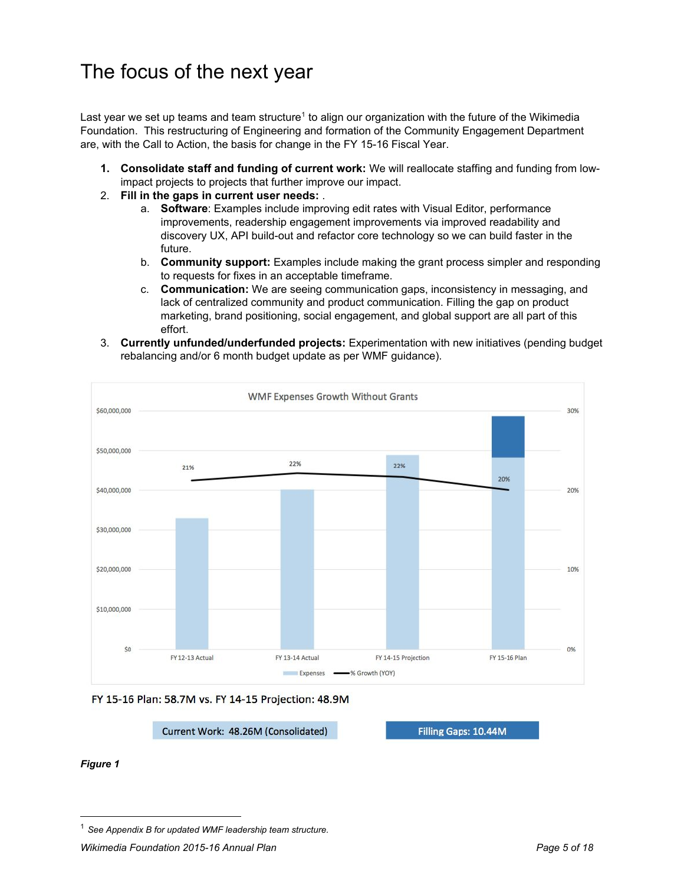## <span id="page-4-0"></span>The focus of the next year

Last year we set up teams and team structure<sup>1</sup> to align our organization with the future of the Wikimedia Foundation. This restructuring of Engineering and formation of the Community Engagement Department are, with the Call to Action, the basis for change in the FY 15-16 Fiscal Year.

- **1. Consolidate staff and funding of current work:** We will reallocate staffing and funding from lowimpact projects to projects that further improve our impact.
- 2. **Fill in the gaps in current user needs:** .
	- **Software**: Examples include improving edit rates with Visual Editor, performance improvements, readership engagement improvements via improved readability and discovery UX, API build-out and refactor core technology so we can build faster in the future.
	- b. **Community support:**Examples include making the grant process simpler and responding to requests for fixes in an acceptable timeframe.
	- c. **Communication:**We are seeing communication gaps, inconsistency in messaging, and lack of centralized community and product communication. Filling the gap on product marketing, brand positioning, social engagement, and global support are all part of this effort.
- 3. **Currently unfunded/underfunded projects:** Experimentation with new initiatives (pending budget rebalancing and/or 6 month budget update as per WMF guidance).





Current Work: 48.26M (Consolidated)

Filling Gaps: 10.44M

*Figure 1*

<sup>1</sup> *See Appendix B for updated WMF leadership team structure.*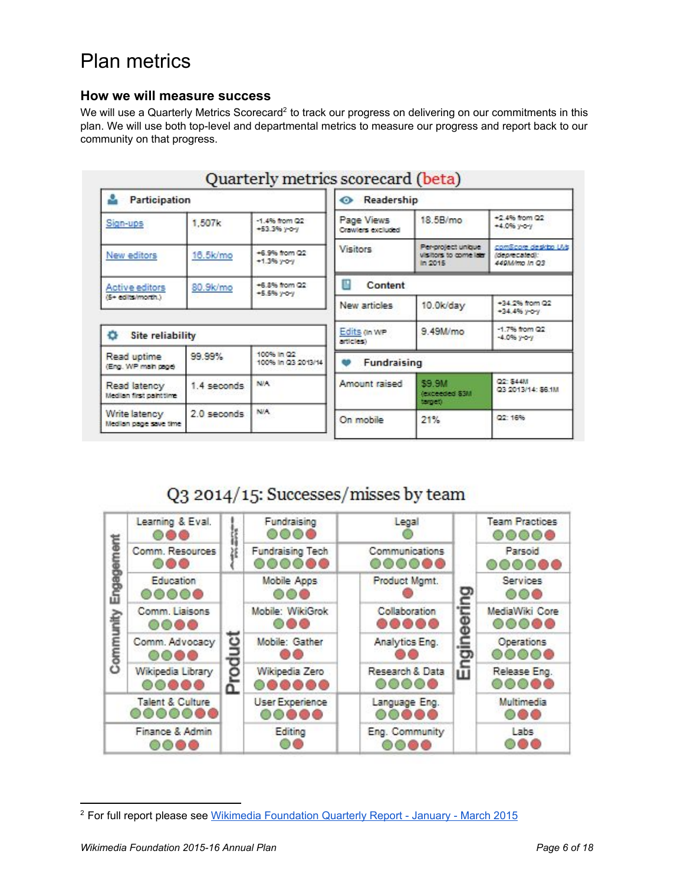## <span id="page-5-0"></span>Plan metrics

#### <span id="page-5-1"></span>**How we will measure success**

We will use a Quarterly Metrics Scorecard<sup>2</sup> to track our progress on delivering on our commitments in this plan. We will use both top-level and departmental metrics to measure our progress and report back to our community on that progress.

|                                                            |             | Quarterly metrics scorecard (beta) |                                 |                                                         |                                                        |  |
|------------------------------------------------------------|-------------|------------------------------------|---------------------------------|---------------------------------------------------------|--------------------------------------------------------|--|
| <b>Participation</b>                                       |             |                                    | Readership<br>⊙                 |                                                         |                                                        |  |
| 1.507k<br>Sign-ups                                         |             | $-1.4\%$ from $Q2$<br>+53.3% y-o-y | Page Views<br>Crawlers excluded | 18.5B/mo                                                | +2.4% from Q2<br>+4.0% y-o-y                           |  |
| New editors                                                | 16.5k/mo    | +6.9% from Q2<br>$+1.3%$ yoy       | <b>Visitors</b>                 | Per-project unique<br>visitors to come later<br>In 2015 | comScore desirbo UVs<br>(deprecated):<br>449M/mo In Q3 |  |
| +6.8% from Q2<br>80.9k/mo<br>Active editors<br>$+5.5%$ you |             | Content                            |                                 |                                                         |                                                        |  |
| (5+ edits/month.)                                          |             |                                    | New articles                    | 10.0k/day                                               | +34.2% from Q2<br>+34.4% yoy                           |  |
| Site reliability<br>o                                      |             |                                    | Edits on WP<br>articles)        | 9.49M/mo                                                | $-1.7%$ from Q2<br>$-4.0\%$ yo y                       |  |
| Read uptime<br>(Eng. WP main page)                         | 99.99%      | 100% in Q2<br>100% in Q3 2013/14   | Fundraising                     |                                                         |                                                        |  |
| Read latency<br>Median first painttime                     | 1.4 seconds | <b>NVA</b>                         | Amount raised                   | \$9.9M<br>(exceeded \$3M<br>target)                     | Q2: 844M<br>Q3 2013/14: \$6.1M                         |  |
| Write latency<br>Median page save time                     | 2.0 seconds | N/A                                | On mobile                       | 21%                                                     | Q2: 16%                                                |  |

## Q3 2014/15: Successes/misses by team

|          | Learning & Eval.<br>000                    |   | Fundraising<br>$\circ\circ\circ\circ$    | Legal                    |      | <b>Team Practices</b><br>$\circ\circ\circ\circ$ |
|----------|--------------------------------------------|---|------------------------------------------|--------------------------|------|-------------------------------------------------|
| mem      | Comm. Resources<br>ൈ                       |   | <b>Fundraising Tech</b><br><b>000000</b> | Communications<br>000000 |      | Parsoid<br>೦೦೦೦                                 |
| Engage   | Education<br>00000                         |   | Mobile Apps<br>$\circ$                   | Product Mgmt.            | ළ    | Services<br>000                                 |
|          | Comm. Liaisons<br>$\circ\circ\bullet\circ$ |   | Mobile: WikiGrok<br>006                  | Collaboration<br>        |      | MediaWiki Core<br>00000                         |
| Communit | Comm. Advocacy<br>0000                     | ت | Mobile: Gather                           | Analytics Eng.           |      | Operations<br>0000C                             |
|          | Wikipedia Library<br>00000                 |   | Wikipedia Zero<br>                       | Research & Data<br>00000 | Engi | Release Eng.<br>00000                           |
|          | <b>Talent &amp; Culture</b><br>0000000     |   | User Experience<br>00000                 | Language Eng.<br>00000   |      | Multimedia<br>000                               |
|          | Finance & Admin<br>ೲೲ                      |   | Editing                                  | Eng. Community<br>റററെ   |      | Labs                                            |

<sup>&</sup>lt;sup>2</sup> For full report please see Wikimedia [Foundation](https://upload.wikimedia.org/wikipedia/commons/4/47/Wikimedia_Foundation_Quarterly_Report%2C_FY_2014-15_Q3_%28January-March%29.pdf) Quarterly Report - January - March 2015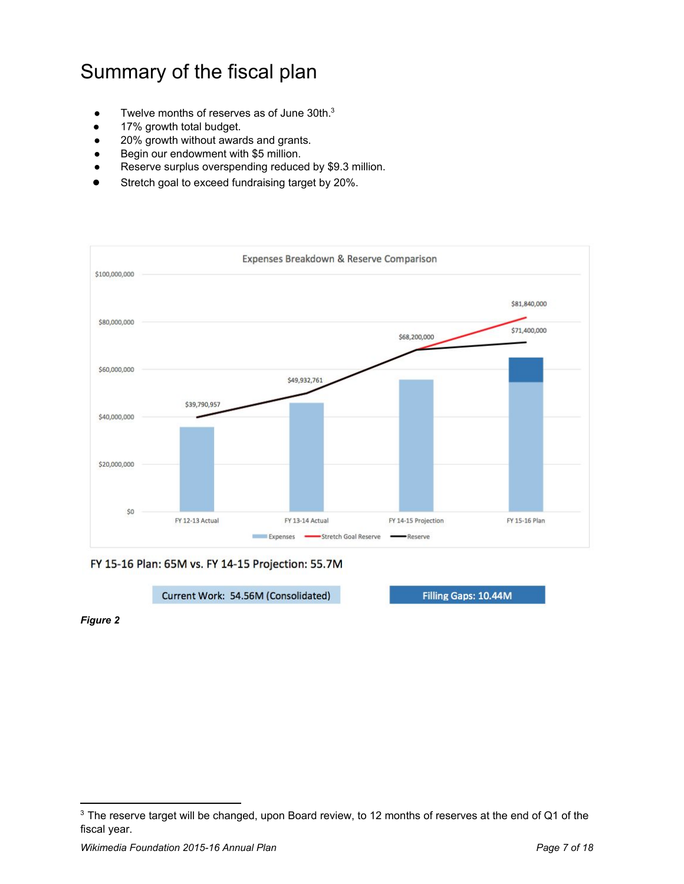## <span id="page-6-0"></span>Summary of the fiscal plan

- $\bullet$  Twelve months of reserves as of June 30th. $3$
- 17% growth total budget.
- 20% growth without awards and grants.
- Begin our endowment with \$5 million.
- Reserve surplus overspending reduced by \$9.3 million.
- Stretch goal to exceed fundraising target by 20%.



FY 15-16 Plan: 65M vs. FY 14-15 Projection: 55.7M

Current Work: 54.56M (Consolidated)

Filling Gaps: 10.44M

*Figure 2*

 $3$  The reserve target will be changed, upon Board review, to 12 months of reserves at the end of Q1 of the fiscal year.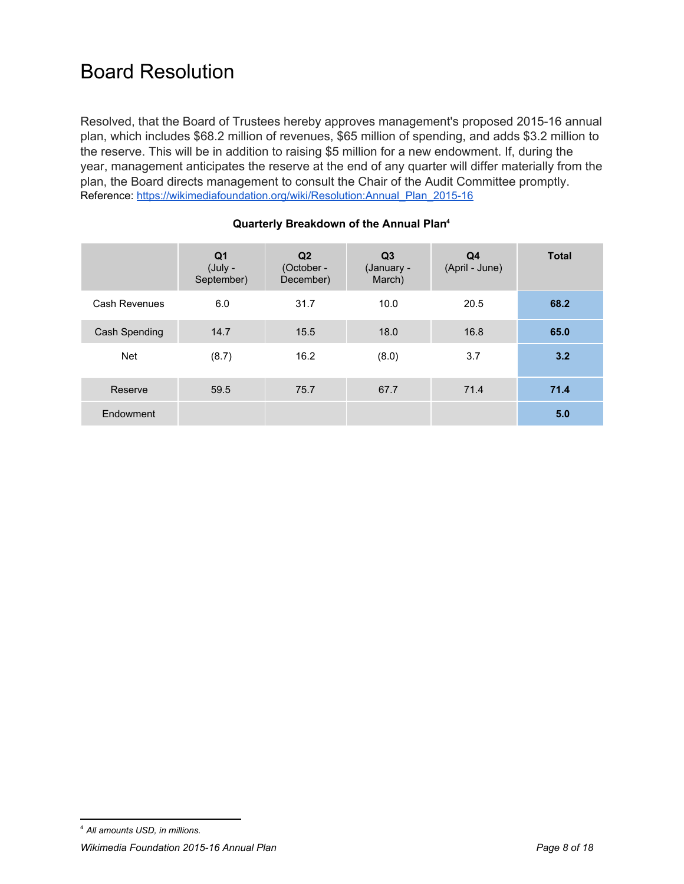## <span id="page-7-0"></span>Board Resolution

Resolved, that the Board of Trustees hereby approves management's proposed 2015-16 annual plan, which includes \$68.2 million of revenues, \$65 million of spending, and adds \$3.2 million to the reserve. This will be in addition to raising \$5 million for a new endowment. If, during the year, management anticipates the reserve at the end of any quarter will differ materially from the plan, the Board directs management to consult the Chair of the Audit Committee promptly. Reference: https://wikimediafoundation.org/wiki/Resolution:Annual\_Plan\_2015-16

<span id="page-7-1"></span>

|               | Q1<br>(July -<br>September) | Q <sub>2</sub><br>(October -<br>December) | Q <sub>3</sub><br>(January -<br>March) | Q4<br>(April - June) | <b>Total</b> |
|---------------|-----------------------------|-------------------------------------------|----------------------------------------|----------------------|--------------|
| Cash Revenues | 6.0                         | 31.7                                      | 10.0                                   | 20.5                 | 68.2         |
| Cash Spending | 14.7                        | 15.5                                      | 18.0                                   | 16.8                 | 65.0         |
| <b>Net</b>    | (8.7)                       | 16.2                                      | (8.0)                                  | 3.7                  | 3.2          |
| Reserve       | 59.5                        | 75.7                                      | 67.7                                   | 71.4                 | 71.4         |
| Endowment     |                             |                                           |                                        |                      | 5.0          |

#### **Quarterly Breakdown of the Annual Plan 4**

<sup>4</sup> *All amounts USD, in millions.*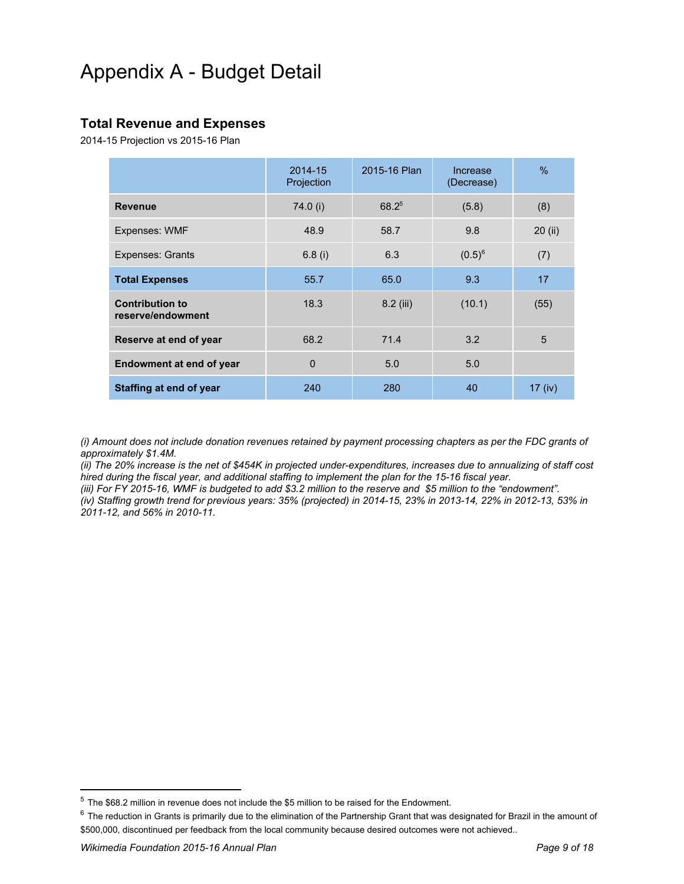## <span id="page-8-0"></span>Appendix A - Budget Detail

### <span id="page-8-1"></span>**Total Revenue and Expenses**

2014-15 Projection vs 2015-16 Plan

|                                             | 2014-15<br>Projection | 2015-16 Plan | Increase<br>(Decrease) | %         |
|---------------------------------------------|-----------------------|--------------|------------------------|-----------|
| <b>Revenue</b>                              | 74.0 (i)              | $68.2^{5}$   | (5.8)                  | (8)       |
| Expenses: WMF                               | 48.9                  | 58.7         | 9.8                    | 20(i)     |
| <b>Expenses: Grants</b>                     | 6.8(i)                | 6.3          | $(0.5)^6$              | (7)       |
| <b>Total Expenses</b>                       | 55.7                  | 65.0         | 9.3                    | 17        |
| <b>Contribution to</b><br>reserve/endowment | 18.3                  | 8.2 (iii)    | (10.1)                 | (55)      |
| Reserve at end of year                      | 68.2                  | 71.4         | 3.2                    | 5         |
| <b>Endowment at end of year</b>             | $\Omega$              | 5.0          | 5.0                    |           |
| Staffing at end of year                     | 240                   | 280          | 40                     | $17$ (iv) |

(i) Amount does not include donation revenues retained by payment processing chapters as per the FDC grants of *approximately \$1.4M.*

(ii) The 20% increase is the net of \$454K in projected under-expenditures, increases due to annualizing of staff cost *hired during the fiscal year, and additional staffing to implement the plan for the 1516 fiscal year.*

(iii) For FY 2015-16, WMF is budgeted to add \$3.2 million to the reserve and \$5 million to the "endowment". (iv) Staffing growth trend for previous years: 35% (projected) in 2014-15, 23% in 2013-14, 22% in 2012-13, 53% in *201112, and 56% in 201011.*

<sup>5</sup> The \$68.2 million in revenue does not include the \$5 million to be raised for the Endowment.

 $6$  The reduction in Grants is primarily due to the elimination of the Partnership Grant that was designated for Brazil in the amount of \$500,000, discontinued per feedback from the local community because desired outcomes were not achieved..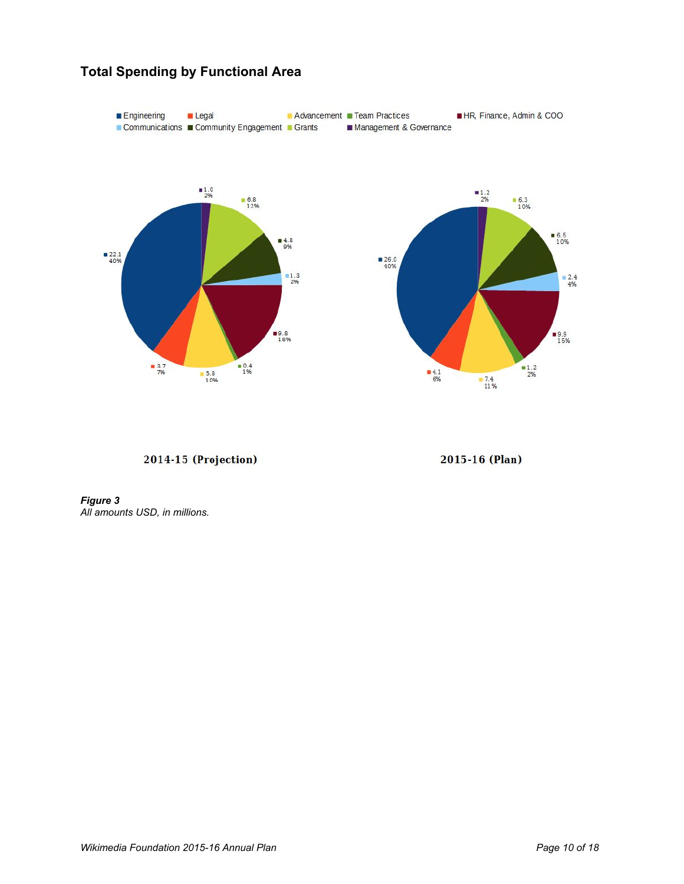

### <span id="page-9-0"></span>**Total Spending by Functional Area**

2014-15 (Projection)

2015-16 (Plan)

*Figure 3 All amounts USD, in millions.*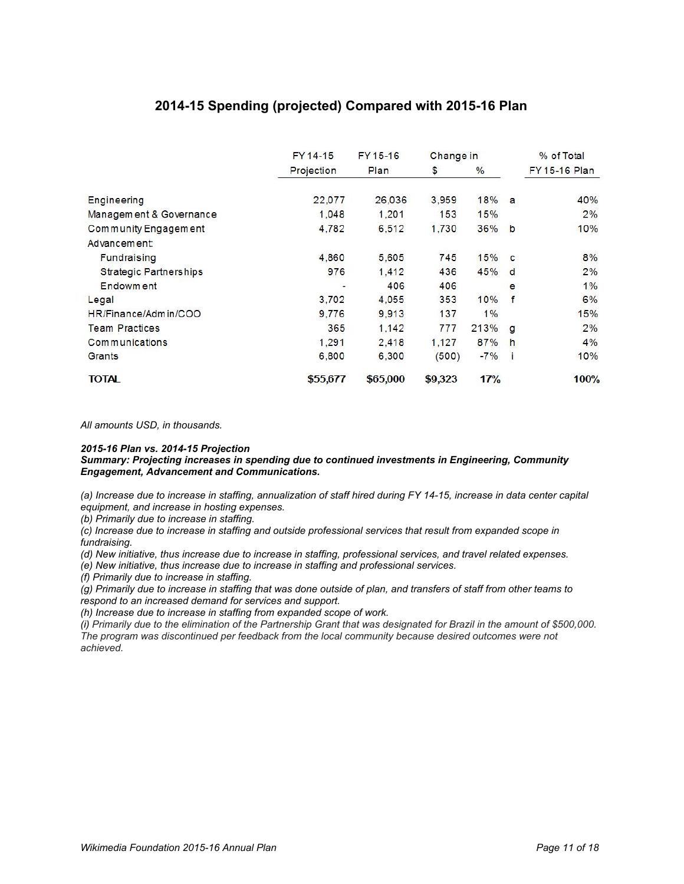### **201415 Spending (projected) Compared with 201516 Plan**

<span id="page-10-0"></span>

|                               | FY 14-15   | FY 15-16 | Change in |       |    | % of Total    |
|-------------------------------|------------|----------|-----------|-------|----|---------------|
|                               | Projection | Plan     | \$        | $\%$  |    | FY 15-16 Plan |
| Engineering                   | 22,077     | 26,036   | 3.959     | 18%   | a  | 40%           |
| Managem ent & Governance      | 1.048      | 1,201    | 153       | 15%   |    | 2%            |
| Community Engagement          | 4.782      | 6,512    | 1,730     | 36%   | b  | 10%           |
| Advancement:                  |            |          |           |       |    |               |
| <b>Fundraising</b>            | 4,860      | 5,605    | 745       | 15%   | C  | 8%            |
| <b>Strategic Partnerships</b> | 976        | 1.412    | 436       | 45%   | d  | 2%            |
| Endowm ent                    |            | 406      | 406       |       | е  | $1\%$         |
| Legal                         | 3.702      | 4.055    | 353       | 10%   | f  | 6%            |
| HR/Finance/Admin/COO          | 9.776      | 9.913    | 137       | 1%    |    | 15%           |
| <b>Team Practices</b>         | 365        | 1.142    | 777       | 213%  | g  | 2%            |
| <b>Communications</b>         | 1.291      | 2.418    | 1.127     | 87%   | h  | 4%            |
| Grants                        | 6,800      | 6,300    | (500)     | $-7%$ | -1 | 10%           |
| <b>TOTAL</b>                  | \$55,677   | \$65,000 | \$9,323   | 17%   |    | 100%          |

*All amounts USD, in thousands.*

#### *201516 Plan vs. 201415 Projection*

#### *Summary: Projecting increases in spending due to continued investments in Engineering, Community Engagement, Advancement and Communications.*

(a) Increase due to increase in staffing, annualization of staff hired during FY 14-15, increase in data center capital *equipment, and increase in hosting expenses.*

*(b) Primarily due to increase in staffing.*

(c) Increase due to increase in staffing and outside professional services that result from expanded scope in *fundraising.*

(d) New initiative, thus increase due to increase in staffing, professional services, and travel related expenses.

*(e) New initiative, thus increase due to increase in staffing and professional services.*

*(f) Primarily due to increase in staffing.*

(g) Primarily due to increase in staffing that was done outside of plan, and transfers of staff from other teams to *respond to an increased demand for services and support.*

*(h) Increase due to increase in staffing from expanded scope of work.*

(i) Primarily due to the elimination of the Partnership Grant that was designated for Brazil in the amount of \$500,000. *The program was discontinued per feedback from the local community because desired outcomes were not achieved.*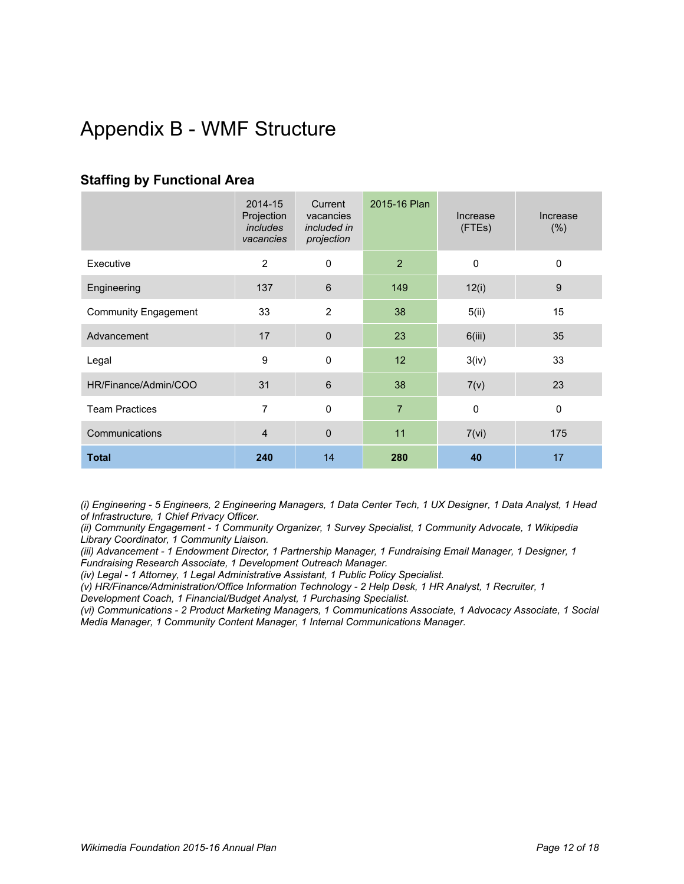## <span id="page-11-0"></span>Appendix B - WMF Structure

### <span id="page-11-1"></span>**Staffing by Functional Area**

|                             | 2014-15<br>Projection<br>includes<br>vacancies | Current<br>vacancies<br>included in<br>projection | 2015-16 Plan   | Increase<br>(FTEs) | Increase<br>(% ) |
|-----------------------------|------------------------------------------------|---------------------------------------------------|----------------|--------------------|------------------|
| Executive                   | $\overline{2}$                                 | $\mathbf 0$                                       | 2              | $\mathbf 0$        | $\mathbf 0$      |
| Engineering                 | 137                                            | $6\phantom{1}$                                    | 149            | 12(i)              | $\boldsymbol{9}$ |
| <b>Community Engagement</b> | 33                                             | 2                                                 | 38             | 5(ii)              | 15               |
| Advancement                 | 17                                             | $\mathbf 0$                                       | 23             | 6(iii)             | 35               |
| Legal                       | 9                                              | $\mathbf 0$                                       | 12             | 3(iv)              | 33               |
| HR/Finance/Admin/COO        | 31                                             | $\,6$                                             | 38             | 7(v)               | 23               |
| <b>Team Practices</b>       | 7                                              | $\mathbf 0$                                       | $\overline{7}$ | $\pmb{0}$          | $\mathbf 0$      |
| Communications              | $\overline{4}$                                 | $\mathbf 0$                                       | 11             | 7(vi)              | 175              |
| <b>Total</b>                | 240                                            | 14                                                | 280            | 40                 | 17               |

(i) Engineering - 5 Engineers, 2 Engineering Managers, 1 Data Center Tech, 1 UX Designer, 1 Data Analyst, 1 Head *of Infrastructure, 1 Chief Privacy Officer.*

*(ii) Community Engagement 1 Community Organizer, 1 Survey Specialist, 1 Community Advocate, 1 Wikipedia Library Coordinator, 1 Community Liaison.*

*(iii) Advancement 1 Endowment Director, 1 Partnership Manager, 1 Fundraising Email Manager, 1 Designer, 1 Fundraising Research Associate, 1 Development Outreach Manager.*

*(iv) Legal 1 Attorney, 1 Legal Administrative Assistant, 1 Public Policy Specialist.*

*(v) HR/Finance/Administration/Office Information Technology 2 Help Desk, 1 HR Analyst, 1 Recruiter, 1*

*Development Coach, 1 Financial/Budget Analyst, 1 Purchasing Specialist.*

*(vi) Communications 2 Product Marketing Managers, 1 Communications Associate, 1 Advocacy Associate, 1 Social Media Manager, 1 Community Content Manager, 1 Internal Communications Manager.*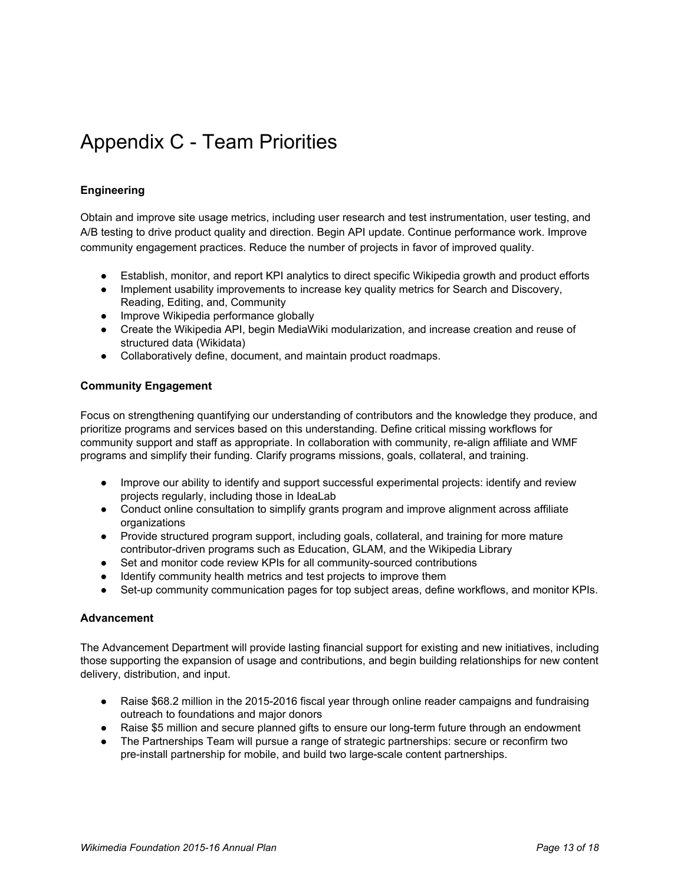## <span id="page-12-0"></span>Appendix C - Team Priorities

#### <span id="page-12-1"></span>**Engineering**

Obtain and improve site usage metrics, including user research and test instrumentation, user testing, and A/B testing to drive product quality and direction. Begin API update. Continue performance work. Improve community engagement practices. Reduce the number of projects in favor of improved quality.

- Establish, monitor, and report KPI analytics to direct specific Wikipedia growth and product efforts
- Implement usability improvements to increase key quality metrics for Search and Discovery, Reading, Editing, and, Community
- Improve Wikipedia performance globally
- Create the Wikipedia API, begin MediaWiki modularization, and increase creation and reuse of structured data (Wikidata)
- Collaboratively define, document, and maintain product roadmaps.

#### <span id="page-12-2"></span>**Community Engagement**

Focus on strengthening quantifying our understanding of contributors and the knowledge they produce, and prioritize programs and services based on this understanding. Define critical missing workflows for community support and staff as appropriate. In collaboration with community, re-align affiliate and WMF programs and simplify their funding. Clarify programs missions, goals, collateral, and training.

- Improve our ability to identify and support successful experimental projects: identify and review projects regularly, including those in IdeaLab
- Conduct online consultation to simplify grants program and improve alignment across affiliate organizations
- Provide structured program support, including goals, collateral, and training for more mature contributor-driven programs such as Education, GLAM, and the Wikipedia Library
- Set and monitor code review KPIs for all community-sourced contributions
- Identify community health metrics and test projects to improve them
- Set-up community communication pages for top subject areas, define workflows, and monitor KPIs.

#### <span id="page-12-3"></span>**Advancement**

The Advancement Department will provide lasting financial support for existing and new initiatives, including those supporting the expansion of usage and contributions, and begin building relationships for new content delivery, distribution, and input.

- Raise \$68.2 million in the 2015-2016 fiscal year through online reader campaigns and fundraising outreach to foundations and major donors
- Raise \$5 million and secure planned gifts to ensure our long-term future through an endowment
- The Partnerships Team will pursue a range of strategic partnerships: secure or reconfirm two pre-install partnership for mobile, and build two large-scale content partnerships.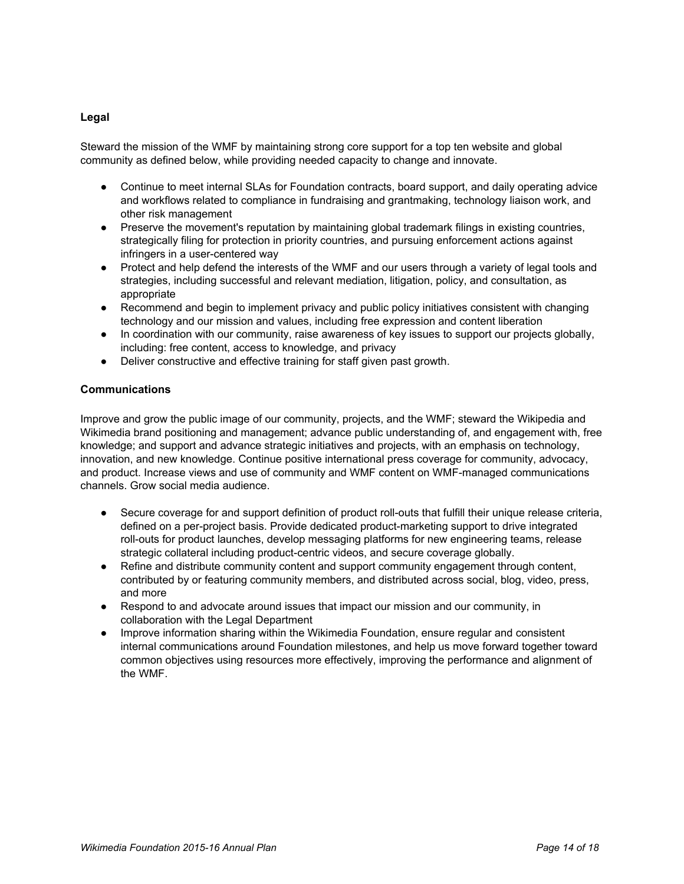#### <span id="page-13-0"></span>**Legal**

Steward the mission of the WMF by maintaining strong core support for a top ten website and global community as defined below, while providing needed capacity to change and innovate.

- Continue to meet internal SLAs for Foundation contracts, board support, and daily operating advice and workflows related to compliance in fundraising and grantmaking, technology liaison work, and other risk management
- Preserve the movement's reputation by maintaining global trademark filings in existing countries, strategically filing for protection in priority countries, and pursuing enforcement actions against infringers in a user-centered way
- Protect and help defend the interests of the WMF and our users through a variety of legal tools and strategies, including successful and relevant mediation, litigation, policy, and consultation, as appropriate
- Recommend and begin to implement privacy and public policy initiatives consistent with changing technology and our mission and values, including free expression and content liberation
- In coordination with our community, raise awareness of key issues to support our projects globally, including: free content, access to knowledge, and privacy
- Deliver constructive and effective training for staff given past growth.

#### <span id="page-13-1"></span>**Communications**

Improve and grow the public image of our community, projects, and the WMF; steward the Wikipedia and Wikimedia brand positioning and management; advance public understanding of, and engagement with, free knowledge; and support and advance strategic initiatives and projects, with an emphasis on technology, innovation, and new knowledge. Continue positive international press coverage for community, advocacy, and product. Increase views and use of community and WMF content on WMF-managed communications channels. Grow social media audience.

- Secure coverage for and support definition of product roll-outs that fulfill their unique release criteria, defined on a per-project basis. Provide dedicated product-marketing support to drive integrated roll-outs for product launches, develop messaging platforms for new engineering teams, release strategic collateral including product-centric videos, and secure coverage globally.
- Refine and distribute community content and support community engagement through content, contributed by or featuring community members, and distributed across social, blog, video, press, and more
- Respond to and advocate around issues that impact our mission and our community, in collaboration with the Legal Department
- Improve information sharing within the Wikimedia Foundation, ensure regular and consistent internal communications around Foundation milestones, and help us move forward together toward common objectives using resources more effectively, improving the performance and alignment of the WMF.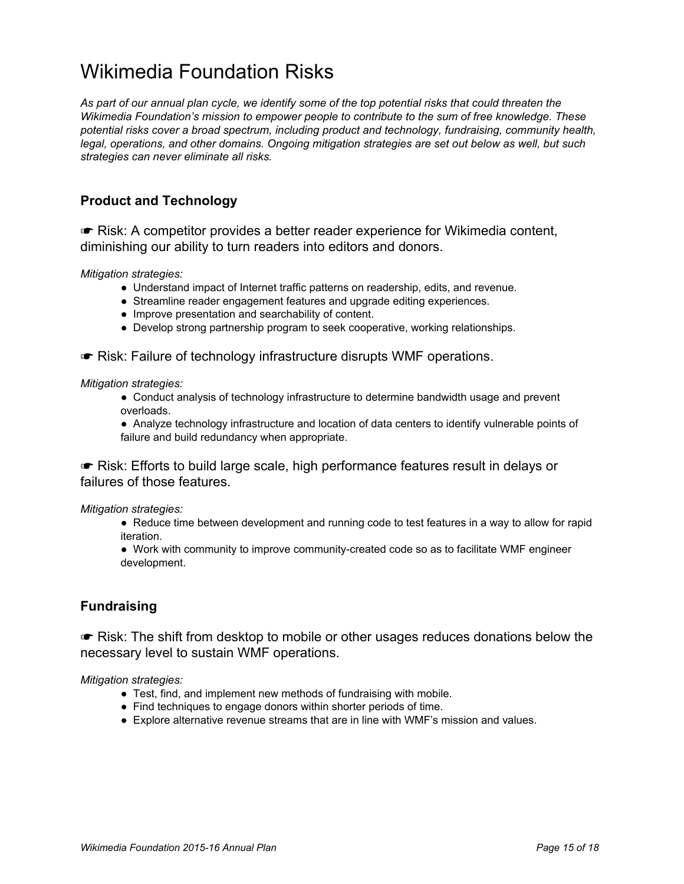## <span id="page-14-0"></span>Wikimedia Foundation Risks

As part of our annual plan cycle, we identify some of the top potential risks that could threaten the *Wikimedia Foundation's mission to empower people to contribute to the sum of free knowledge. These potential risks cover a broad spectrum, including product and technology, fundraising, community health, legal, operations, and other domains. Ongoing mitigation strategies are set out below as well, but such strategies can never eliminate all risks.*

### <span id="page-14-1"></span>**Product and Technology**

☛ Risk: A competitor provides a better reader experience for Wikimedia content, diminishing our ability to turn readers into editors and donors.

*Mitigation strategies:*

- Understand impact of Internet traffic patterns on readership, edits, and revenue.
- Streamline reader engagement features and upgrade editing experiences.
- Improve presentation and searchability of content.
- Develop strong partnership program to seek cooperative, working relationships.

☛ Risk: Failure of technology infrastructure disrupts WMF operations.

#### *Mitigation strategies:*

- Conduct analysis of technology infrastructure to determine bandwidth usage and prevent overloads.
- Analyze technology infrastructure and location of data centers to identify vulnerable points of failure and build redundancy when appropriate.

☛ Risk: Efforts to build large scale, high performance features result in delays or failures of those features.

#### *Mitigation strategies:*

- Reduce time between development and running code to test features in a way to allow for rapid iteration.
- Work with community to improve community-created code so as to facilitate WMF engineer development.

### <span id="page-14-2"></span>**Fundraising**

☛ Risk: The shift from desktop to mobile or other usages reduces donations below the necessary level to sustain WMF operations.

*Mitigation strategies:*

- Test, find, and implement new methods of fundraising with mobile.
- Find techniques to engage donors within shorter periods of time.
- Explore alternative revenue streams that are in line with WMF's mission and values.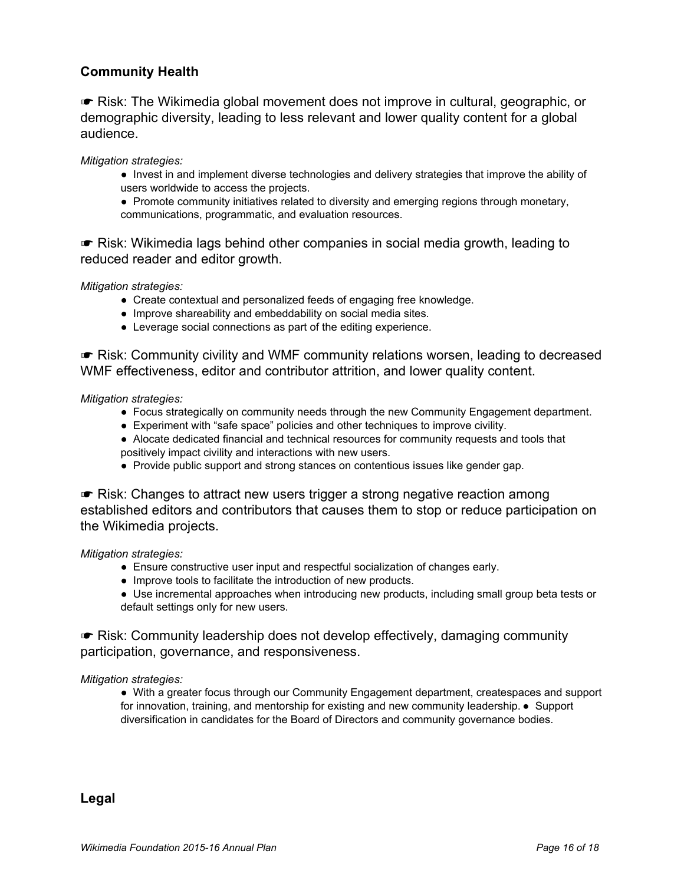### <span id="page-15-0"></span>**Community Health**

☛ Risk: The Wikimedia global movement does not improve in cultural, geographic, or demographic diversity, leading to less relevant and lower quality content for a global audience.

*Mitigation strategies:*

- Invest in and implement diverse technologies and delivery strategies that improve the ability of users worldwide to access the projects.
- Promote community initiatives related to diversity and emerging regions through monetary, communications, programmatic, and evaluation resources.

☛ Risk: Wikimedia lags behind other companies in social media growth, leading to reduced reader and editor growth.

*Mitigation strategies:*

- Create contextual and personalized feeds of engaging free knowledge.
- Improve shareability and embeddability on social media sites.
- Leverage social connections as part of the editing experience.

☛ Risk: Community civility and WMF community relations worsen, leading to decreased WMF effectiveness, editor and contributor attrition, and lower quality content.

*Mitigation strategies:*

- Focus strategically on community needs through the new Community Engagement department.
- Experiment with "safe space" policies and other techniques to improve civility.
- Alocate dedicated financial and technical resources for community requests and tools that positively impact civility and interactions with new users.
- Provide public support and strong stances on contentious issues like gender gap.

☛ Risk: Changes to attract new users trigger a strong negative reaction among established editors and contributors that causes them to stop or reduce participation on the Wikimedia projects.

*Mitigation strategies:*

- Ensure constructive user input and respectful socialization of changes early.
- Improve tools to facilitate the introduction of new products.
- Use incremental approaches when introducing new products, including small group beta tests or default settings only for new users.

☛ Risk: Community leadership does not develop effectively, damaging community participation, governance, and responsiveness.

*Mitigation strategies:*

● With a greater focus through our Community Engagement department, createspaces and support for innovation, training, and mentorship for existing and new community leadership. • Support diversification in candidates for the Board of Directors and community governance bodies.

<span id="page-15-1"></span>**Legal**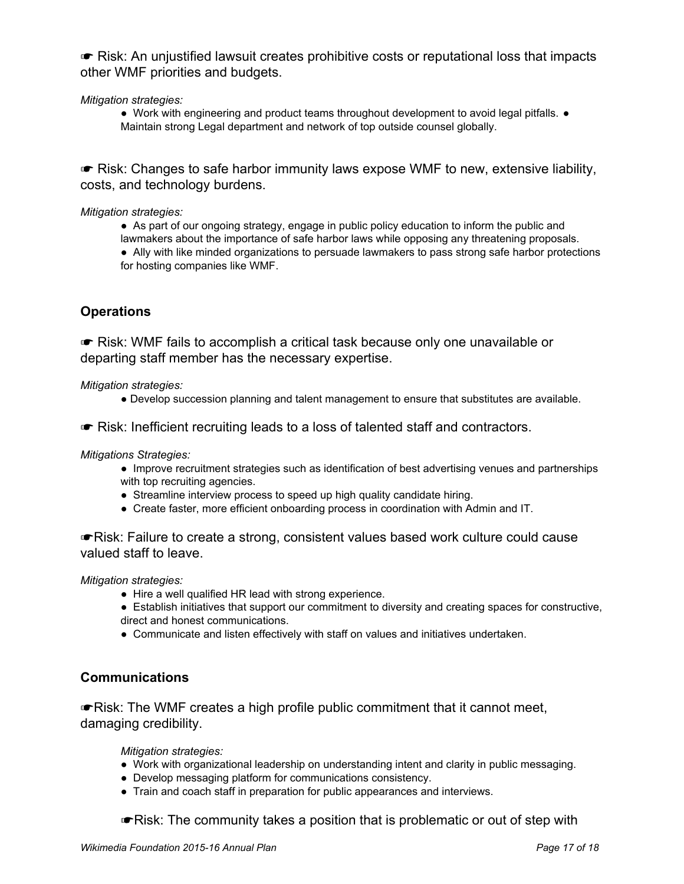☛ Risk: An unjustified lawsuit creates prohibitive costs or reputational loss that impacts other WMF priorities and budgets.

*Mitigation strategies:*

● Work with engineering and product teams throughout development to avoid legal pitfalls. ● Maintain strong Legal department and network of top outside counsel globally.

☛ Risk: Changes to safe harbor immunity laws expose WMF to new, extensive liability, costs, and technology burdens.

#### *Mitigation strategies:*

- As part of our ongoing strategy, engage in public policy education to inform the public and
- lawmakers about the importance of safe harbor laws while opposing any threatening proposals.
- Ally with like minded organizations to persuade lawmakers to pass strong safe harbor protections for hosting companies like WMF.

### <span id="page-16-0"></span>**Operations**

☛ Risk: WMF fails to accomplish a critical task because only one unavailable or departing staff member has the necessary expertise.

*Mitigation strategies:*

- Develop succession planning and talent management to ensure that substitutes are available.
- ☛ Risk: Inefficient recruiting leads to a loss of talented staff and contractors.

*Mitigations Strategies:*

- Improve recruitment strategies such as identification of best advertising venues and partnerships with top recruiting agencies.
- Streamline interview process to speed up high quality candidate hiring.
- Create faster, more efficient onboarding process in coordination with Admin and IT.

☛Risk: Failure to create a strong, consistent values based work culture could cause valued staff to leave.

*Mitigation strategies:*

- Hire a well qualified HR lead with strong experience.
- Establish initiatives that support our commitment to diversity and creating spaces for constructive, direct and honest communications.
- Communicate and listen effectively with staff on values and initiatives undertaken.

### <span id="page-16-1"></span>**Communications**

☛Risk: The WMF creates a high profile public commitment that it cannot meet, damaging credibility.

*Mitigation strategies:*

- Work with organizational leadership on understanding intent and clarity in public messaging.
- Develop messaging platform for communications consistency.
- Train and coach staff in preparation for public appearances and interviews.

☛Risk: The community takes a position that is problematic or out of step with